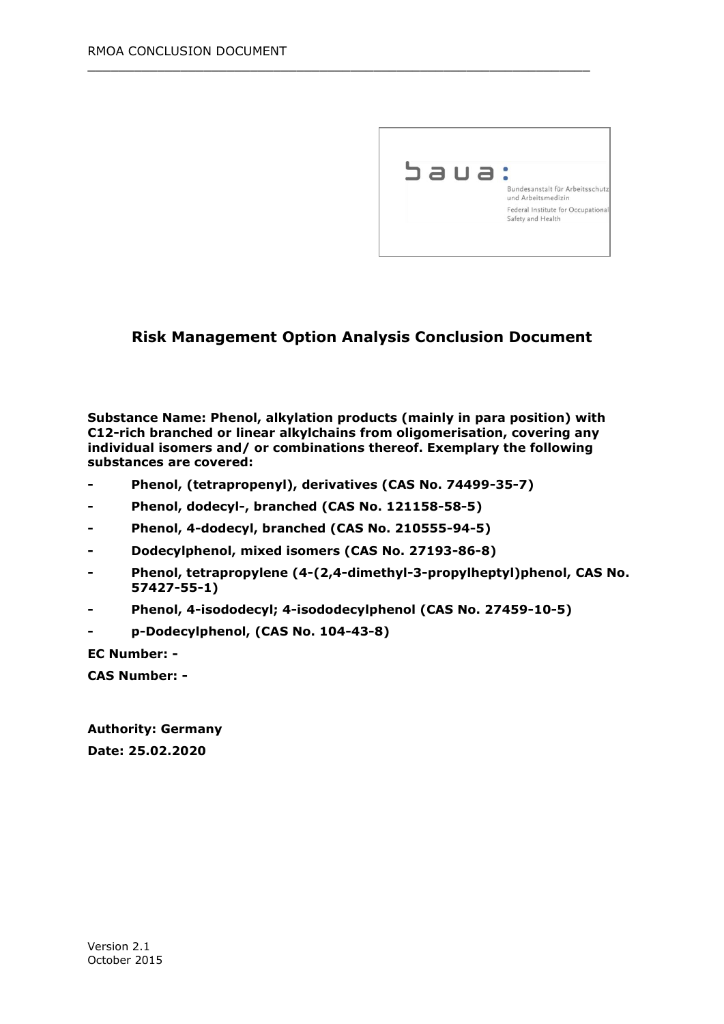

#### **Risk Management Option Analysis Conclusion Document**

 $\_$  , and the set of the set of the set of the set of the set of the set of the set of the set of the set of the set of the set of the set of the set of the set of the set of the set of the set of the set of the set of th

**Substance Name: Phenol, alkylation products (mainly in para position) with C12-rich branched or linear alkylchains from oligomerisation, covering any individual isomers and/ or combinations thereof. Exemplary the following substances are covered:** 

- **- Phenol, (tetrapropenyl), derivatives (CAS No. 74499-35-7)**
- **- Phenol, dodecyl-, branched (CAS No. 121158-58-5)**
- **- Phenol, 4-dodecyl, branched (CAS No. 210555-94-5)**
- **- Dodecylphenol, mixed isomers (CAS No. 27193-86-8)**
- **- Phenol, tetrapropylene (4-(2,4-dimethyl-3-propylheptyl)phenol, CAS No. 57427-55-1)**
- **- Phenol, 4-isododecyl; 4-isododecylphenol (CAS No. 27459-10-5)**
- **- p-Dodecylphenol, (CAS No. 104-43-8)**

**EC Number: -**

**CAS Number: -**

**Authority: Germany Date: 25.02.2020**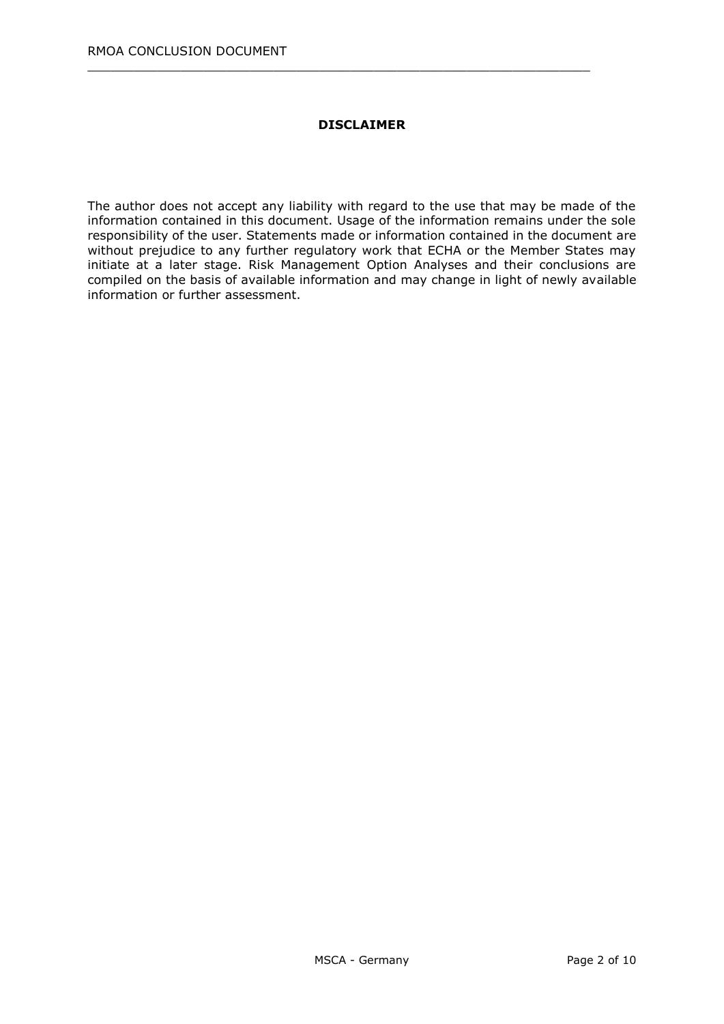#### **DISCLAIMER**

 $\_$  , and the set of the set of the set of the set of the set of the set of the set of the set of the set of the set of the set of the set of the set of the set of the set of the set of the set of the set of the set of th

The author does not accept any liability with regard to the use that may be made of the information contained in this document. Usage of the information remains under the sole responsibility of the user. Statements made or information contained in the document are without prejudice to any further regulatory work that ECHA or the Member States may initiate at a later stage. Risk Management Option Analyses and their conclusions are compiled on the basis of available information and may change in light of newly available information or further assessment.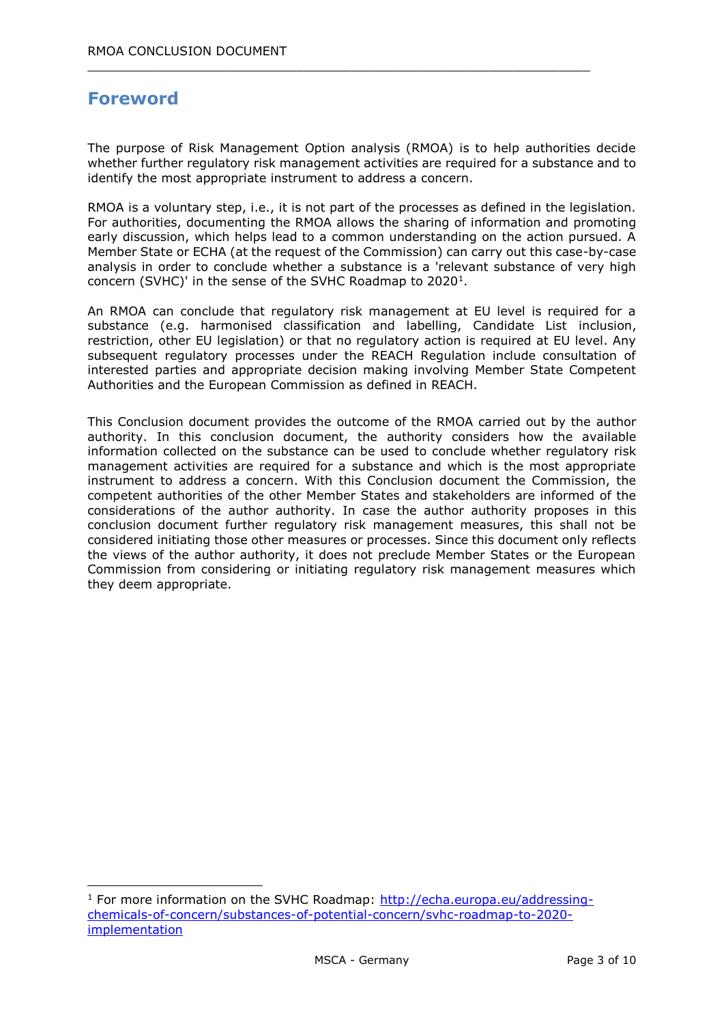# **Foreword**

-

The purpose of Risk Management Option analysis (RMOA) is to help authorities decide whether further regulatory risk management activities are required for a substance and to identify the most appropriate instrument to address a concern.

 $\_$  , and the set of the set of the set of the set of the set of the set of the set of the set of the set of the set of the set of the set of the set of the set of the set of the set of the set of the set of the set of th

RMOA is a voluntary step, i.e., it is not part of the processes as defined in the legislation. For authorities, documenting the RMOA allows the sharing of information and promoting early discussion, which helps lead to a common understanding on the action pursued. A Member State or ECHA (at the request of the Commission) can carry out this case-by-case analysis in order to conclude whether a substance is a 'relevant substance of very high concern (SVHC)' in the sense of the SVHC Roadmap to  $2020<sup>1</sup>$ .

An RMOA can conclude that regulatory risk management at EU level is required for a substance (e.g. harmonised classification and labelling, Candidate List inclusion, restriction, other EU legislation) or that no regulatory action is required at EU level. Any subsequent regulatory processes under the REACH Regulation include consultation of interested parties and appropriate decision making involving Member State Competent Authorities and the European Commission as defined in REACH.

This Conclusion document provides the outcome of the RMOA carried out by the author authority. In this conclusion document, the authority considers how the available information collected on the substance can be used to conclude whether regulatory risk management activities are required for a substance and which is the most appropriate instrument to address a concern. With this Conclusion document the Commission, the competent authorities of the other Member States and stakeholders are informed of the considerations of the author authority. In case the author authority proposes in this conclusion document further regulatory risk management measures, this shall not be considered initiating those other measures or processes. Since this document only reflects the views of the author authority, it does not preclude Member States or the European Commission from considering or initiating regulatory risk management measures which they deem appropriate.

<sup>&</sup>lt;sup>1</sup> For more information on the SVHC Roadmap: [http://echa.europa.eu/addressing](http://echa.europa.eu/addressing-chemicals-of-concern/substances-of-potential-concern/svhc-roadmap-to-2020-implementation)[chemicals-of-concern/substances-of-potential-concern/svhc-roadmap-to-2020](http://echa.europa.eu/addressing-chemicals-of-concern/substances-of-potential-concern/svhc-roadmap-to-2020-implementation) [implementation](http://echa.europa.eu/addressing-chemicals-of-concern/substances-of-potential-concern/svhc-roadmap-to-2020-implementation)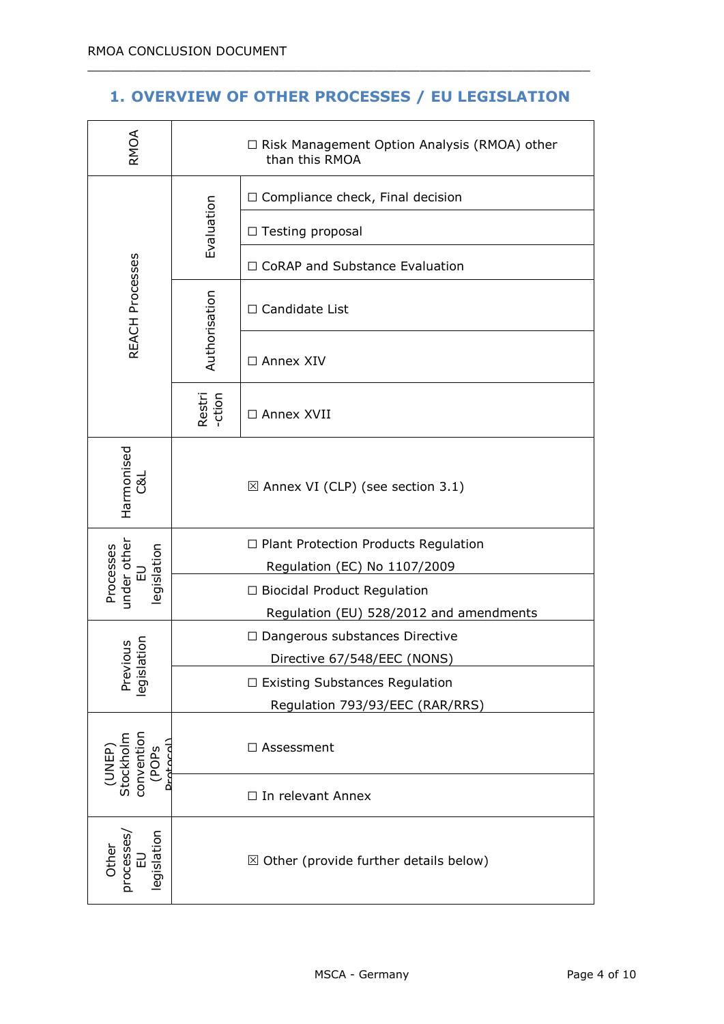## **1. OVERVIEW OF OTHER PROCESSES / EU LEGISLATION**

 $\_$  , and the set of the set of the set of the set of the set of the set of the set of the set of the set of the set of the set of the set of the set of the set of the set of the set of the set of the set of the set of th

| RMOA                                                    | □ Risk Management Option Analysis (RMOA) other<br>than this RMOA            |                                                                      |
|---------------------------------------------------------|-----------------------------------------------------------------------------|----------------------------------------------------------------------|
| <b>REACH Processes</b>                                  | Evaluation                                                                  | $\Box$ Compliance check, Final decision                              |
|                                                         |                                                                             | □ Testing proposal                                                   |
|                                                         |                                                                             | □ CoRAP and Substance Evaluation                                     |
|                                                         | Authorisation                                                               | $\Box$ Candidate List                                                |
|                                                         |                                                                             | □ Annex XIV                                                          |
|                                                         | Restri<br>-ction                                                            | □ Annex XVII                                                         |
| Harmonised<br>ಡ                                         | $\boxtimes$ Annex VI (CLP) (see section 3.1)                                |                                                                      |
| under other<br>EU<br>Processes<br>egislation            | $\Box$ Plant Protection Products Regulation<br>Regulation (EC) No 1107/2009 |                                                                      |
|                                                         | □ Biocidal Product Regulation<br>Regulation (EU) 528/2012 and amendments    |                                                                      |
| vious<br>ation<br>Previ<br>legisla                      |                                                                             | $\Box$ Dangerous substances Directive<br>Directive 67/548/EEC (NONS) |
|                                                         | $\Box$ Existing Substances Regulation<br>Regulation 793/93/EEC (RAR/RRS)    |                                                                      |
| (UNEP)<br>Stockholm<br>convention<br>(POPs<br>Protocol) | □ Assessment                                                                |                                                                      |
|                                                         | □ In relevant Annex                                                         |                                                                      |
| egislation<br>processes<br>Other<br>교                   | $\boxtimes$ Other (provide further details below)                           |                                                                      |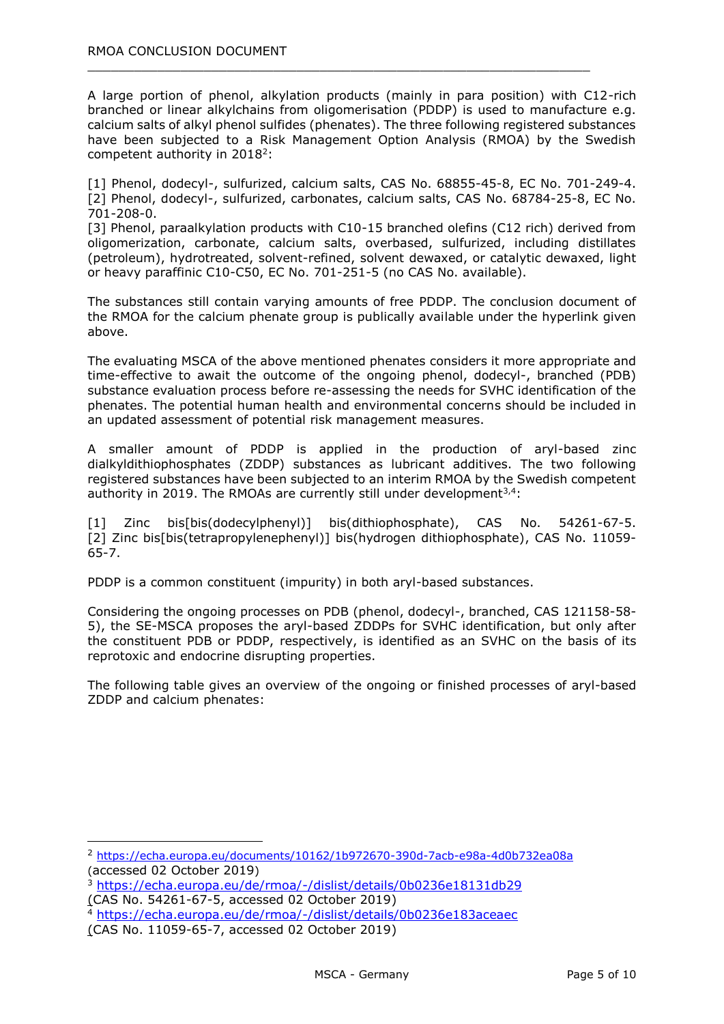A large portion of phenol, alkylation products (mainly in para position) with C12-rich branched or linear alkylchains from oligomerisation (PDDP) is used to manufacture e.g. calcium salts of alkyl phenol sulfides (phenates). The three following registered substances have been subjected to a Risk Management Option Analysis (RMOA) by the Swedish competent authority in  $2018^2$ :

 $\_$  , and the set of the set of the set of the set of the set of the set of the set of the set of the set of the set of the set of the set of the set of the set of the set of the set of the set of the set of the set of th

[1] Phenol, dodecyl-, sulfurized, calcium salts, CAS No. 68855-45-8, EC No. 701-249-4. [2] Phenol, dodecyl-, sulfurized, carbonates, calcium salts, CAS No. 68784-25-8, EC No. 701-208-0.

[3] Phenol, paraalkylation products with C10-15 branched olefins (C12 rich) derived from oligomerization, carbonate, calcium salts, overbased, sulfurized, including distillates (petroleum), hydrotreated, solvent-refined, solvent dewaxed, or catalytic dewaxed, light or heavy paraffinic C10-C50, EC No. 701-251-5 (no CAS No. available).

The substances still contain varying amounts of free PDDP. The conclusion document of the RMOA for the calcium phenate group is publically available under the hyperlink given above.

The evaluating MSCA of the above mentioned phenates considers it more appropriate and time-effective to await the outcome of the ongoing phenol, dodecyl-, branched (PDB) substance evaluation process before re-assessing the needs for SVHC identification of the phenates. The potential human health and environmental concerns should be included in an updated assessment of potential risk management measures.

A smaller amount of PDDP is applied in the production of aryl-based zinc dialkyldithiophosphates (ZDDP) substances as lubricant additives. The two following registered substances have been subjected to an interim RMOA by the Swedish competent authority in 2019. The RMOAs are currently still under development $3,4$ :

[1] Zinc bis[bis(dodecylphenyl)] bis(dithiophosphate), CAS No. 54261-67-5. [2] Zinc bis[bis(tetrapropylenephenyl)] bis(hydrogen dithiophosphate), CAS No. 11059- 65-7.

PDDP is a common constituent (impurity) in both aryl-based substances.

Considering the ongoing processes on PDB (phenol, dodecyl-, branched, CAS 121158-58- 5), the SE-MSCA proposes the aryl-based ZDDPs for SVHC identification, but only after the constituent PDB or PDDP, respectively, is identified as an SVHC on the basis of its reprotoxic and endocrine disrupting properties.

The following table gives an overview of the ongoing or finished processes of aryl-based ZDDP and calcium phenates:

-

<sup>2</sup> <https://echa.europa.eu/documents/10162/1b972670-390d-7acb-e98a-4d0b732ea08a> (accessed 02 October 2019)

<sup>3</sup> <https://echa.europa.eu/de/rmoa/-/dislist/details/0b0236e18131db29> (CAS No. 54261-67-5, accessed 02 October 2019)

<sup>4</sup> <https://echa.europa.eu/de/rmoa/-/dislist/details/0b0236e183aceaec>

<sup>(</sup>CAS No. 11059-65-7, accessed 02 October 2019)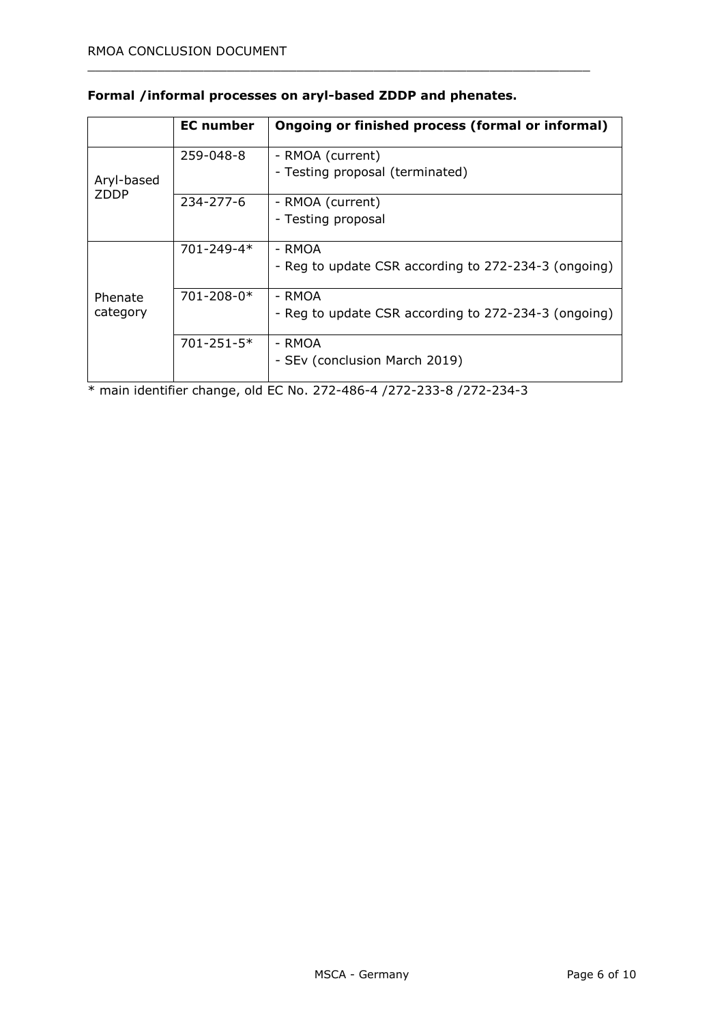|                           | <b>EC</b> number | Ongoing or finished process (formal or informal)     |  |
|---------------------------|------------------|------------------------------------------------------|--|
|                           | 259-048-8        | - RMOA (current)                                     |  |
| Aryl-based<br><b>ZDDP</b> |                  | - Testing proposal (terminated)                      |  |
|                           | $234 - 277 - 6$  | - RMOA (current)                                     |  |
|                           |                  | - Testing proposal                                   |  |
| Phenate<br>category       | 701-249-4*       | - RMOA                                               |  |
|                           |                  | - Reg to update CSR according to 272-234-3 (ongoing) |  |
|                           | $701 - 208 - 0*$ | - RMOA                                               |  |
|                           |                  | - Reg to update CSR according to 272-234-3 (ongoing) |  |
|                           | $701 - 251 - 5*$ | - RMOA                                               |  |
|                           |                  | - SEv (conclusion March 2019)                        |  |

### **Formal /informal processes on aryl-based ZDDP and phenates.**

 $\_$  , and the set of the set of the set of the set of the set of the set of the set of the set of the set of the set of the set of the set of the set of the set of the set of the set of the set of the set of the set of th

\* main identifier change, old EC No. 272-486-4 /272-233-8 /272-234-3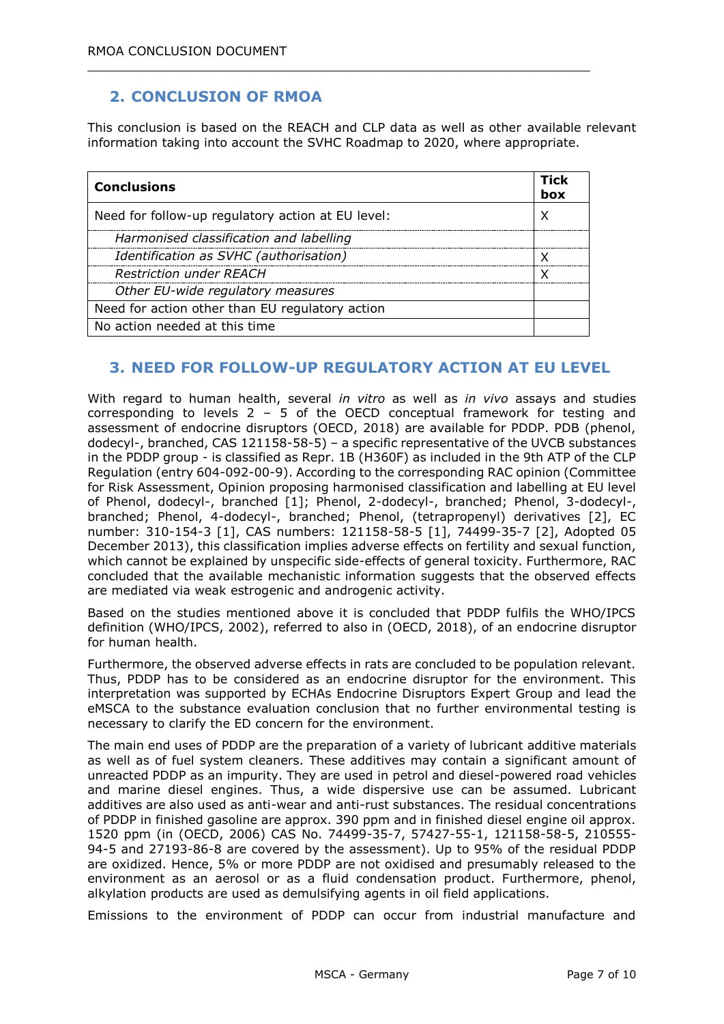## **2. CONCLUSION OF RMOA**

This conclusion is based on the REACH and CLP data as well as other available relevant information taking into account the SVHC Roadmap to 2020, where appropriate.

| <b>Conclusions</b>                                | Tick<br>box |
|---------------------------------------------------|-------------|
| Need for follow-up regulatory action at EU level: | Χ           |
| Harmonised classification and labelling           |             |
| Identification as SVHC (authorisation)            | χ           |
| <b>Restriction under REACH</b>                    | x           |
| Other EU-wide regulatory measures                 |             |
| Need for action other than EU regulatory action   |             |
| No action needed at this time                     |             |

 $\_$  , and the set of the set of the set of the set of the set of the set of the set of the set of the set of the set of the set of the set of the set of the set of the set of the set of the set of the set of the set of th

### **3. NEED FOR FOLLOW-UP REGULATORY ACTION AT EU LEVEL**

With regard to human health, several *in vitro* as well as *in vivo* assays and studies corresponding to levels  $2 - 5$  of the OECD conceptual framework for testing and assessment of endocrine disruptors (OECD, 2018) are available for PDDP. PDB (phenol, dodecyl-, branched, CAS 121158-58-5) – a specific representative of the UVCB substances in the PDDP group - is classified as Repr. 1B (H360F) as included in the 9th ATP of the CLP Regulation (entry 604-092-00-9). According to the corresponding RAC opinion (Committee for Risk Assessment, Opinion proposing harmonised classification and labelling at EU level of Phenol, dodecyl-, branched [1]; Phenol, 2-dodecyl-, branched; Phenol, 3-dodecyl-, branched; Phenol, 4-dodecyl-, branched; Phenol, (tetrapropenyl) derivatives [2], EC number: 310-154-3 [1], CAS numbers: 121158-58-5 [1], 74499-35-7 [2], Adopted 05 December 2013), this classification implies adverse effects on fertility and sexual function, which cannot be explained by unspecific side-effects of general toxicity. Furthermore, RAC concluded that the available mechanistic information suggests that the observed effects are mediated via weak estrogenic and androgenic activity.

Based on the studies mentioned above it is concluded that PDDP fulfils the WHO/IPCS definition (WHO/IPCS, 2002), referred to also in (OECD, 2018), of an endocrine disruptor for human health.

Furthermore, the observed adverse effects in rats are concluded to be population relevant. Thus, PDDP has to be considered as an endocrine disruptor for the environment. This interpretation was supported by ECHAs Endocrine Disruptors Expert Group and lead the eMSCA to the substance evaluation conclusion that no further environmental testing is necessary to clarify the ED concern for the environment.

The main end uses of PDDP are the preparation of a variety of lubricant additive materials as well as of fuel system cleaners. These additives may contain a significant amount of unreacted PDDP as an impurity. They are used in petrol and diesel-powered road vehicles and marine diesel engines. Thus, a wide dispersive use can be assumed. Lubricant additives are also used as anti-wear and anti-rust substances. The residual concentrations of PDDP in finished gasoline are approx. 390 ppm and in finished diesel engine oil approx. 1520 ppm (in (OECD, 2006) CAS No. 74499-35-7, 57427-55-1, 121158-58-5, 210555- 94-5 and 27193-86-8 are covered by the assessment). Up to 95% of the residual PDDP are oxidized. Hence, 5% or more PDDP are not oxidised and presumably released to the environment as an aerosol or as a fluid condensation product. Furthermore, phenol, alkylation products are used as demulsifying agents in oil field applications.

Emissions to the environment of PDDP can occur from industrial manufacture and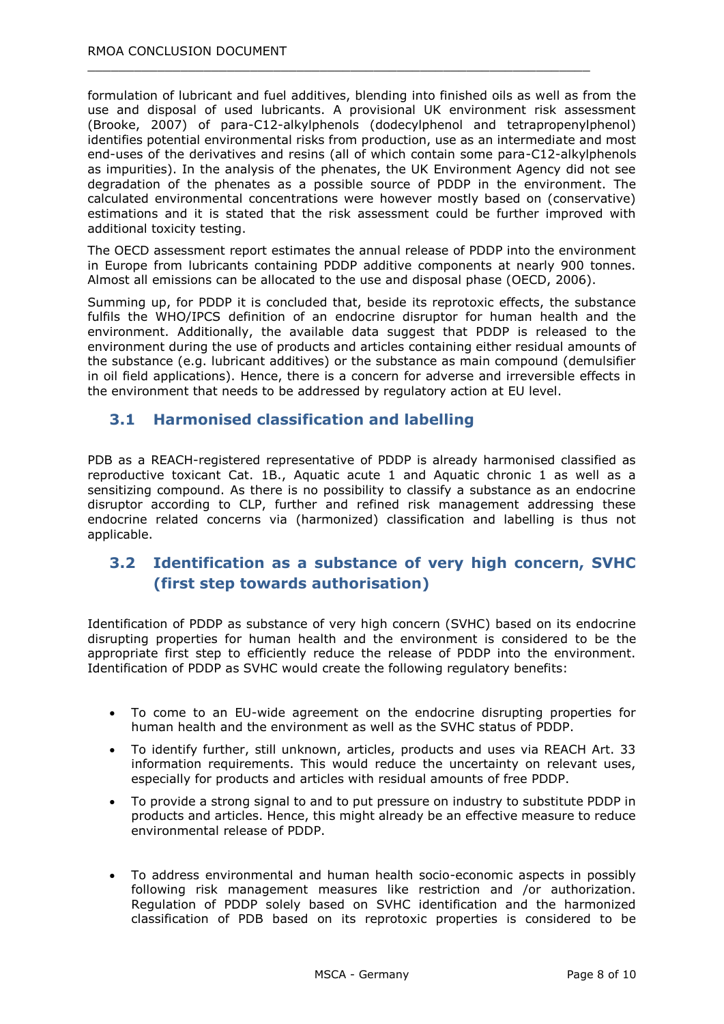formulation of lubricant and fuel additives, blending into finished oils as well as from the use and disposal of used lubricants. A provisional UK environment risk assessment (Brooke, 2007) of para-C12-alkylphenols (dodecylphenol and tetrapropenylphenol) identifies potential environmental risks from production, use as an intermediate and most end-uses of the derivatives and resins (all of which contain some para-C12-alkylphenols as impurities). In the analysis of the phenates, the UK Environment Agency did not see degradation of the phenates as a possible source of PDDP in the environment. The calculated environmental concentrations were however mostly based on (conservative) estimations and it is stated that the risk assessment could be further improved with additional toxicity testing.

 $\_$  , and the set of the set of the set of the set of the set of the set of the set of the set of the set of the set of the set of the set of the set of the set of the set of the set of the set of the set of the set of th

The OECD assessment report estimates the annual release of PDDP into the environment in Europe from lubricants containing PDDP additive components at nearly 900 tonnes. Almost all emissions can be allocated to the use and disposal phase (OECD, 2006).

Summing up, for PDDP it is concluded that, beside its reprotoxic effects, the substance fulfils the WHO/IPCS definition of an endocrine disruptor for human health and the environment. Additionally, the available data suggest that PDDP is released to the environment during the use of products and articles containing either residual amounts of the substance (e.g. lubricant additives) or the substance as main compound (demulsifier in oil field applications). Hence, there is a concern for adverse and irreversible effects in the environment that needs to be addressed by regulatory action at EU level.

#### **3.1 Harmonised classification and labelling**

PDB as a REACH-registered representative of PDDP is already harmonised classified as reproductive toxicant Cat. 1B., Aquatic acute 1 and Aquatic chronic 1 as well as a sensitizing compound. As there is no possibility to classify a substance as an endocrine disruptor according to CLP, further and refined risk management addressing these endocrine related concerns via (harmonized) classification and labelling is thus not applicable.

### **3.2 Identification as a substance of very high concern, SVHC (first step towards authorisation)**

Identification of PDDP as substance of very high concern (SVHC) based on its endocrine disrupting properties for human health and the environment is considered to be the appropriate first step to efficiently reduce the release of PDDP into the environment. Identification of PDDP as SVHC would create the following regulatory benefits:

- To come to an EU-wide agreement on the endocrine disrupting properties for human health and the environment as well as the SVHC status of PDDP.
- To identify further, still unknown, articles, products and uses via REACH Art. 33 information requirements. This would reduce the uncertainty on relevant uses, especially for products and articles with residual amounts of free PDDP.
- To provide a strong signal to and to put pressure on industry to substitute PDDP in products and articles. Hence, this might already be an effective measure to reduce environmental release of PDDP.
- To address environmental and human health socio-economic aspects in possibly following risk management measures like restriction and /or authorization. Regulation of PDDP solely based on SVHC identification and the harmonized classification of PDB based on its reprotoxic properties is considered to be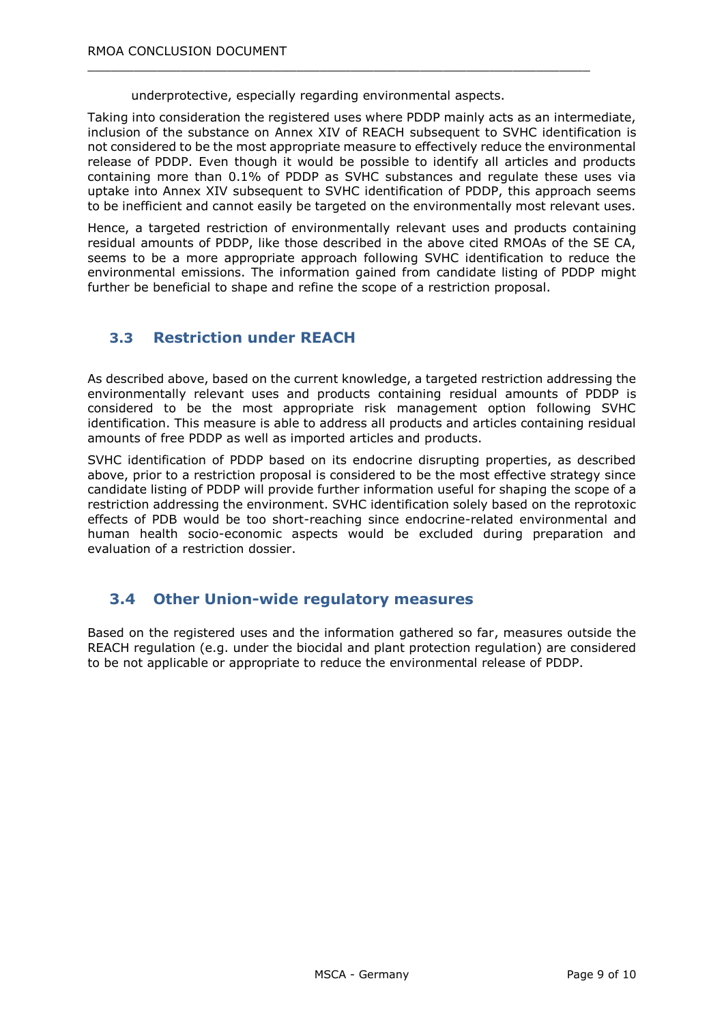underprotective, especially regarding environmental aspects.

 $\_$  , and the set of the set of the set of the set of the set of the set of the set of the set of the set of the set of the set of the set of the set of the set of the set of the set of the set of the set of the set of th

Taking into consideration the registered uses where PDDP mainly acts as an intermediate, inclusion of the substance on Annex XIV of REACH subsequent to SVHC identification is not considered to be the most appropriate measure to effectively reduce the environmental release of PDDP. Even though it would be possible to identify all articles and products containing more than 0.1% of PDDP as SVHC substances and regulate these uses via uptake into Annex XIV subsequent to SVHC identification of PDDP, this approach seems to be inefficient and cannot easily be targeted on the environmentally most relevant uses.

Hence, a targeted restriction of environmentally relevant uses and products containing residual amounts of PDDP, like those described in the above cited RMOAs of the SE CA, seems to be a more appropriate approach following SVHC identification to reduce the environmental emissions. The information gained from candidate listing of PDDP might further be beneficial to shape and refine the scope of a restriction proposal.

### **3.3 Restriction under REACH**

As described above, based on the current knowledge, a targeted restriction addressing the environmentally relevant uses and products containing residual amounts of PDDP is considered to be the most appropriate risk management option following SVHC identification. This measure is able to address all products and articles containing residual amounts of free PDDP as well as imported articles and products.

SVHC identification of PDDP based on its endocrine disrupting properties, as described above, prior to a restriction proposal is considered to be the most effective strategy since candidate listing of PDDP will provide further information useful for shaping the scope of a restriction addressing the environment. SVHC identification solely based on the reprotoxic effects of PDB would be too short-reaching since endocrine-related environmental and human health socio-economic aspects would be excluded during preparation and evaluation of a restriction dossier.

### **3.4 Other Union-wide regulatory measures**

Based on the registered uses and the information gathered so far, measures outside the REACH regulation (e.g. under the biocidal and plant protection regulation) are considered to be not applicable or appropriate to reduce the environmental release of PDDP.